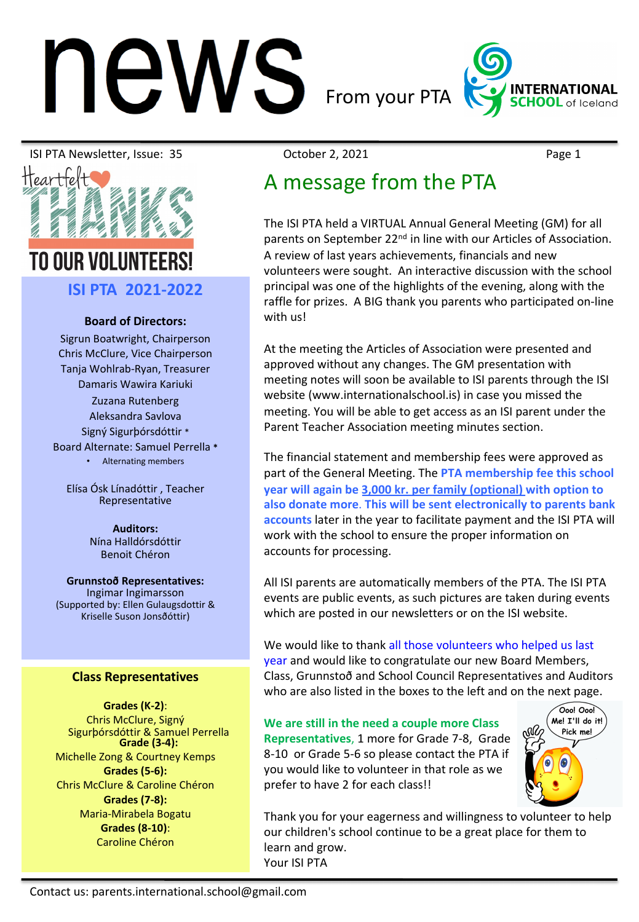# **NS** From your PTA INTERNAT

ISI PTA Newsletter, Issue: 35 October 2, 2021 Page 1



# TN NIIR VNI IIN

**ISI PTA 2021-2022**

#### **Board of Directors:**

Sigrun Boatwright, Chairperson Chris McClure, Vice Chairperson Tanja Wohlrab-Ryan, Treasurer Damaris Wawira Kariuki

Zuzana Rutenberg Aleksandra Savlova Signý Sigurþórsdóttir \* Board Alternate: Samuel Perrella **\***

• Alternating members

Elísa Ósk Línadóttir , Teacher Representative

> **Auditors:** Nína Halldórsdóttir Benoit Chéron

**Grunnstoð Representatives:** Ingimar Ingimarsson (Supported by: Ellen Gulaugsdottir & Kriselle Suson Jonsðóttir)

#### **Class Representatives**

**Grades (K-2)**: Chris McClure, Signý Sigurþórsdóttir & Samuel Perrella **Grade (3-4):**  Michelle Zong & Courtney Kemps **Grades (5-6):**  Chris McClure & Caroline Chéron **Grades (7-8):**  Maria-Mirabela Bogatu **Grades (8-10)**: Caroline Chéron

## A message from the PTA

The ISI PTA held a VIRTUAL Annual General Meeting (GM) for all parents on September 22<sup>nd</sup> in line with our Articles of Association. A review of last years achievements, financials and new volunteers were sought. An interactive discussion with the school principal was one of the highlights of the evening, along with the raffle for prizes. A BIG thank you parents who participated on-line with us!

At the meeting the Articles of Association were presented and approved without any changes. The GM presentation with meeting notes will soon be available to ISI parents through the ISI website (www.internationalschool.is) in case you missed the meeting. You will be able to get access as an ISI parent under the Parent Teacher Association meeting minutes section.

The financial statement and membership fees were approved as part of the General Meeting. The **PTA membership fee this school year will again be 3,000 kr. per family (optional) with option to also donate more**. **This will be sent electronically to parents bank accounts** later in the year to facilitate payment and the ISI PTA will work with the school to ensure the proper information on accounts for processing.

All ISI parents are automatically members of the PTA. The ISI PTA events are public events, as such pictures are taken during events which are posted in our newsletters or on the ISI website.

We would like to thank all those volunteers who helped us last year and would like to congratulate our new Board Members, Class, Grunnstoð and School Council Representatives and Auditors who are also listed in the boxes to the left and on the next page.

**We are still in the need a couple more Class Representatives**, 1 more for Grade 7-8, Grade 8-10 or Grade 5-6 so please contact the PTA if you would like to volunteer in that role as we prefer to have 2 for each class!!



Thank you for your eagerness and willingness to volunteer to help our children's school continue to be a great place for them to learn and grow. Your ISI PTA